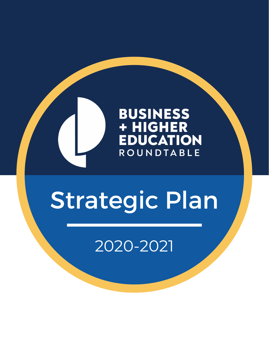

# Strategic Plan

2020-2021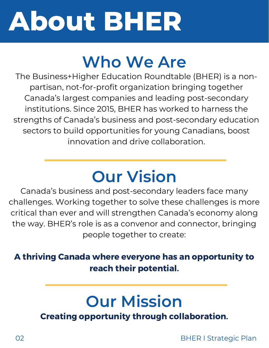# **About BHER**

## **Who We Are**

The Business+Higher Education Roundtable (BHER) is a nonpartisan, not-for-profit organization bringing together Canada's largest companies and leading post-secondary institutions. Since 2015, BHER has worked to harness the strengths of Canada's business and post-secondary education sectors to build opportunities for young Canadians, boost innovation and drive collaboration.

## **Our Vision**

Canada's business and post-secondary leaders face many challenges. Working together to solve these challenges is more critical than ever and will strengthen Canada's economy along the way. BHER's role is as a convenor and connector, bringing people together to create:

#### A thriving Canada where everyone has an opportunity to reach their potential.

### **Our Mission**

Creating opportunity through collaboration.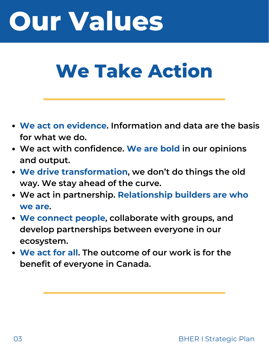# **Our Values**

# **We Take Action**

- **We act on evidence. Information and data are the basis for what we do.**
- **We act with confidence. We are bold in our opinions and output.**
- **We drive transformation, we don't do things the old way. We stay ahead of the curve.**
- **We act in partnership. Relationship builders are who we are.**
- **We connect people, collaborate with groups, and develop partnerships between everyone in our ecosystem.**
- **We act for all. The outcome of our work is for the benefit of everyone in Canada.**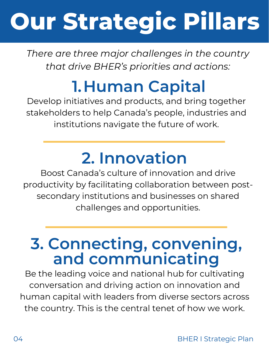# **Our Strategic Pillars**

*There are three major challenges in the country that drive BHER's priorities and actions:*

### **1.Human Capital**

Develop initiatives and products, and bring together stakeholders to help Canada's people, industries and institutions navigate the future of work.

## **2. Innovation**

Boost Canada's culture of innovation and drive productivity by facilitating collaboration between postsecondary institutions and businesses on shared challenges and opportunities.

### **3. Connecting, convening, and communicating**

Be the leading voice and national hub for cultivating conversation and driving action on innovation and human capital with leaders from diverse sectors across the country. This is the central tenet of how we work.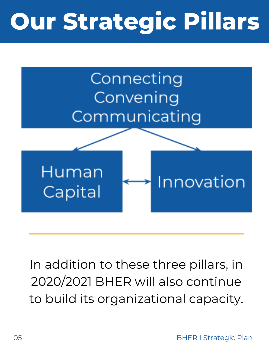# **Our Strategic Pillars**



In addition to these three pillars, in 2020/2021 BHER will also continue to build its organizational capacity.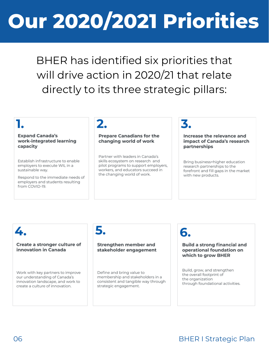# **Our 2020/2021 Priorities**

BHER has identified six priorities that will drive action in 2020/21 that relate directly to its three strategic pillars:

#### **Expand Canada's** work-integrated learning capacity

Establish infrastructure to enable employers to execute WIL in a sustainable way.

Respond to the immediate needs of employers and students resulting from COVID-19.

### 2.

#### **Prepare Canadians for the** changing world of work

Partner with leaders in Canada's skills ecosystem on research and pilot programs to support employers, workers, and educators succeed in the changing world of work.

### 3.

Increase the relevance and impact of Canada's research partnerships

Bring business+higher education research partnerships to the forefront and fill gaps in the market with new products.

#### 4.

#### Create a stronger culture of innovation in Canada

Work with key partners to improve our understanding of Canada's innovation landscape, and work to create a culture of innovation.

#### 5.

#### Strengthen member and stakeholder engagement

Define and bring value to membership and stakeholders in a consistent and tangible way through strategic engagement.

### 6.

#### **Build a strong financial and** operational foundation on which to grow BHER

Build, grow, and strengthen the overall footprint of the organization through foundational activities.

#### 06 BHER I Strategic Plan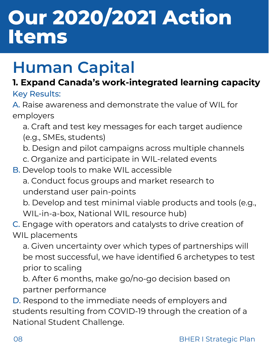## **Human Capital**

#### **1. Expand Canada's work-integrated learning capacity** Key Results:

A. Raise awareness and demonstrate the value of WIL for employers

- a. Craft and test key messages for each target audience
- (e.g., SMEs, students)
- b. Design and pilot campaigns across multiple channels
- c. Organize and participate in WIL-related events
- B. Develop tools to make WIL accessible
	- a. Conduct focus groups and market research to understand user pain-points

b. Develop and test minimal viable products and tools (e.g., WIL-in-a-box, National WIL resource hub)

C. Engage with operators and catalysts to drive creation of

WIL placements

a. Given uncertainty over which types of partnerships will be most successful, we have identified 6 archetypes to test prior to scaling

b. After 6 months, make go/no-go decision based on partner performance

D. Respond to the immediate needs of employers and students resulting from COVID-19 through the creation of a National Student Challenge.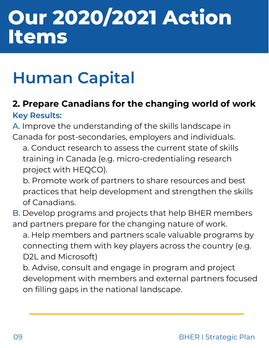## **Human Capital**

#### **2. Prepare Canadians for the changing world of work Key Results:**

A. Improve the understanding of the skills landscape in Canada for post-secondaries, employers and individuals.

a. Conduct research to assess the current state of skills training in Canada (e.g. micro-credentialing research project with HEQCO).

b. Promote work of partners to share resources and best practices that help development and strengthen the skills of Canadians.

B. Develop programs and projects that help BHER members and partners prepare for the changing nature of work.

a. Help members and partners scale valuable programs by connecting them with key players across the country (e.g. D2L and Microsoft)

b. Advise, consult and engage in program and project development with members and external partners focused on filling gaps in the national landscape.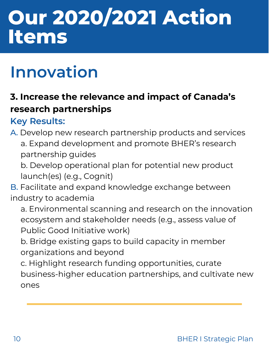## **Innovation**

### **3. Increase the relevance and impact of Canada's research partnerships**

### **Key Results:**

A. Develop new research partnership products and services a. Expand development and promote BHER's research partnership guides

b. Develop operational plan for potential new product launch(es) (e.g., Cognit)

B. Facilitate and expand knowledge exchange between industry to academia

a. Environmental scanning and research on the innovation ecosystem and stakeholder needs (e.g., assess value of Public Good Initiative work)

b. Bridge existing gaps to build capacity in member organizations and beyond

c. Highlight research funding opportunities, curate business-higher education partnerships, and cultivate new ones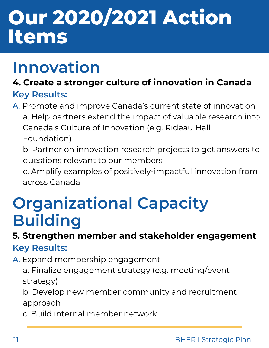### **Innovation**

### **4. Create a stronger culture of innovation in Canada Key Results:**

A. Promote and improve Canada's current state of innovation a. Help partners extend the impact of valuable research into Canada's Culture of Innovation (e.g. Rideau Hall Foundation)

b. Partner on innovation research projects to get answers to questions relevant to our members

c. Amplify examples of positively-impactful innovation from across Canada

### **Organizational Capacity Building**

### **5. Strengthen member and stakeholder engagement**

#### **Key Results:**

A. Expand membership engagement

a. Finalize engagement strategy (e.g. meeting/event strategy)

b. Develop new member community and recruitment approach

c. Build internal member network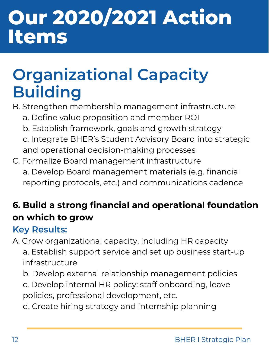## **Organizational Capacity Building**

- B. Strengthen membership management infrastructure
	- a. Define value proposition and member ROI
	- b. Establish framework, goals and growth strategy
	- c. Integrate BHER's Student Advisory Board into strategic and operational decision-making processes
- C. Formalize Board management infrastructure a. Develop Board management materials (e.g. financial reporting protocols, etc.) and communications cadence

### **6. Build a strong financial and operational foundation on which to grow**

### **Key Results:**

A. Grow organizational capacity, including HR capacity a. Establish support service and set up business start-up infrastructure

- b. Develop external relationship management policies
- c. Develop internal HR policy: staff onboarding, leave policies, professional development, etc.
- d. Create hiring strategy and internship planning